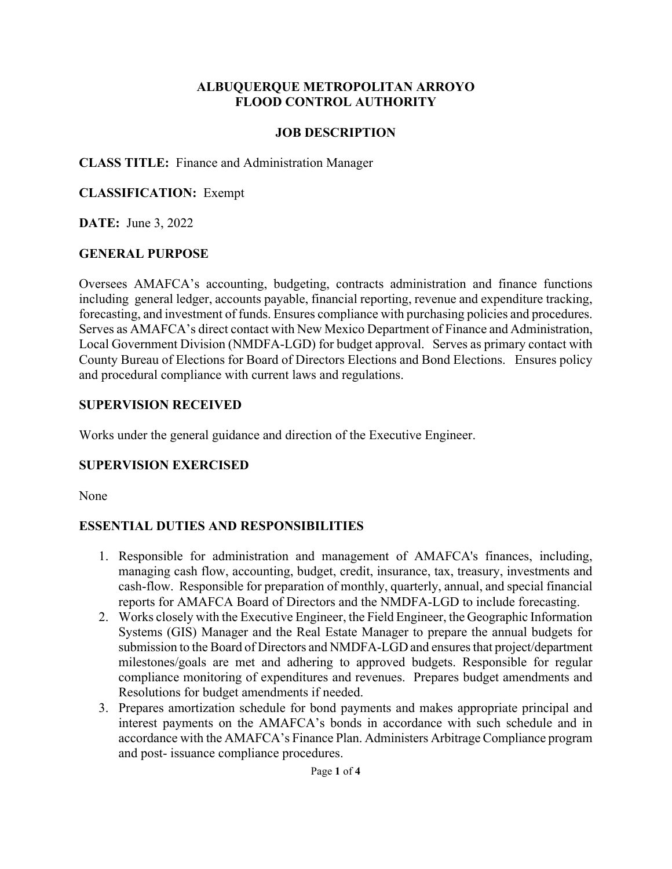#### **ALBUQUERQUE METROPOLITAN ARROYO FLOOD CONTROL AUTHORITY**

#### **JOB DESCRIPTION**

#### **CLASS TITLE:** Finance and Administration Manager

## **CLASSIFICATION:** Exempt

**DATE:** June 3, 2022

## **GENERAL PURPOSE**

Oversees AMAFCA's accounting, budgeting, contracts administration and finance functions including general ledger, accounts payable, financial reporting, revenue and expenditure tracking, forecasting, and investment of funds. Ensures compliance with purchasing policies and procedures. Serves as AMAFCA's direct contact with New Mexico Department of Finance and Administration, Local Government Division (NMDFA-LGD) for budget approval. Serves as primary contact with County Bureau of Elections for Board of Directors Elections and Bond Elections. Ensures policy and procedural compliance with current laws and regulations.

### **SUPERVISION RECEIVED**

Works under the general guidance and direction of the Executive Engineer.

## **SUPERVISION EXERCISED**

None

## **ESSENTIAL DUTIES AND RESPONSIBILITIES**

- 1. Responsible for administration and management of AMAFCA's finances, including, managing cash flow, accounting, budget, credit, insurance, tax, treasury, investments and cash-flow. Responsible for preparation of monthly, quarterly, annual, and special financial reports for AMAFCA Board of Directors and the NMDFA-LGD to include forecasting.
- 2. Works closely with the Executive Engineer, the Field Engineer, the Geographic Information Systems (GIS) Manager and the Real Estate Manager to prepare the annual budgets for submission to the Board of Directors and NMDFA-LGD and ensures that project/department milestones/goals are met and adhering to approved budgets. Responsible for regular compliance monitoring of expenditures and revenues. Prepares budget amendments and Resolutions for budget amendments if needed.
- 3. Prepares amortization schedule for bond payments and makes appropriate principal and interest payments on the AMAFCA's bonds in accordance with such schedule and in accordance with the AMAFCA's Finance Plan. Administers Arbitrage Compliance program and post- issuance compliance procedures.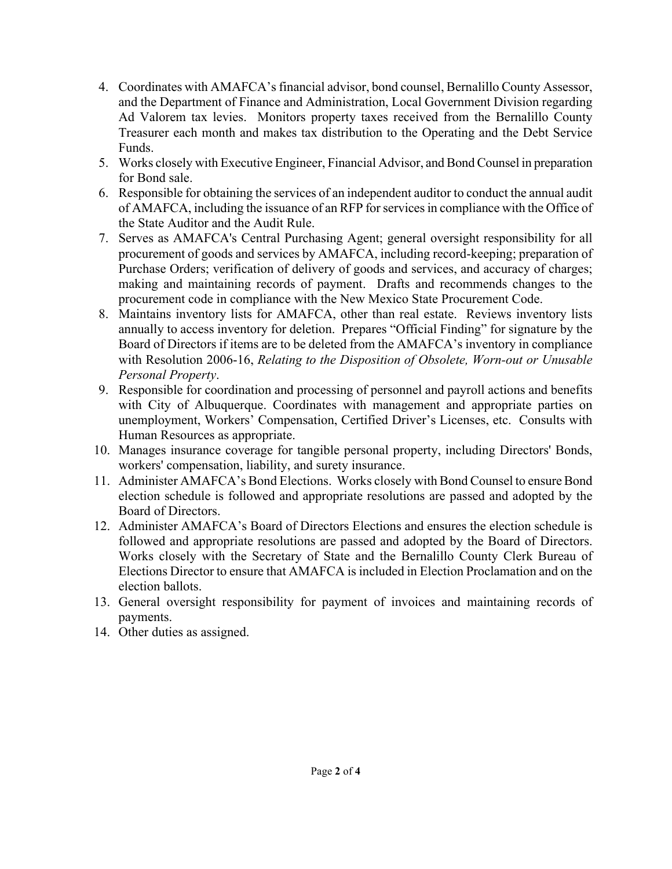- 4. Coordinates with AMAFCA's financial advisor, bond counsel, Bernalillo County Assessor, and the Department of Finance and Administration, Local Government Division regarding Ad Valorem tax levies. Monitors property taxes received from the Bernalillo County Treasurer each month and makes tax distribution to the Operating and the Debt Service Funds.
- 5. Works closely with Executive Engineer, Financial Advisor, and Bond Counsel in preparation for Bond sale.
- 6. Responsible for obtaining the services of an independent auditor to conduct the annual audit of AMAFCA, including the issuance of an RFP for services in compliance with the Office of the State Auditor and the Audit Rule.
- 7. Serves as AMAFCA's Central Purchasing Agent; general oversight responsibility for all procurement of goods and services by AMAFCA, including record-keeping; preparation of Purchase Orders; verification of delivery of goods and services, and accuracy of charges; making and maintaining records of payment. Drafts and recommends changes to the procurement code in compliance with the New Mexico State Procurement Code.
- 8. Maintains inventory lists for AMAFCA, other than real estate. Reviews inventory lists annually to access inventory for deletion. Prepares "Official Finding" for signature by the Board of Directors if items are to be deleted from the AMAFCA's inventory in compliance with Resolution 2006-16, *Relating to the Disposition of Obsolete, Worn-out or Unusable Personal Property*.
- 9. Responsible for coordination and processing of personnel and payroll actions and benefits with City of Albuquerque. Coordinates with management and appropriate parties on unemployment, Workers' Compensation, Certified Driver's Licenses, etc. Consults with Human Resources as appropriate.
- 10. Manages insurance coverage for tangible personal property, including Directors' Bonds, workers' compensation, liability, and surety insurance.
- 11. Administer AMAFCA's Bond Elections. Works closely with Bond Counsel to ensure Bond election schedule is followed and appropriate resolutions are passed and adopted by the Board of Directors.
- 12. Administer AMAFCA's Board of Directors Elections and ensures the election schedule is followed and appropriate resolutions are passed and adopted by the Board of Directors. Works closely with the Secretary of State and the Bernalillo County Clerk Bureau of Elections Director to ensure that AMAFCA is included in Election Proclamation and on the election ballots.
- 13. General oversight responsibility for payment of invoices and maintaining records of payments.
- 14. Other duties as assigned.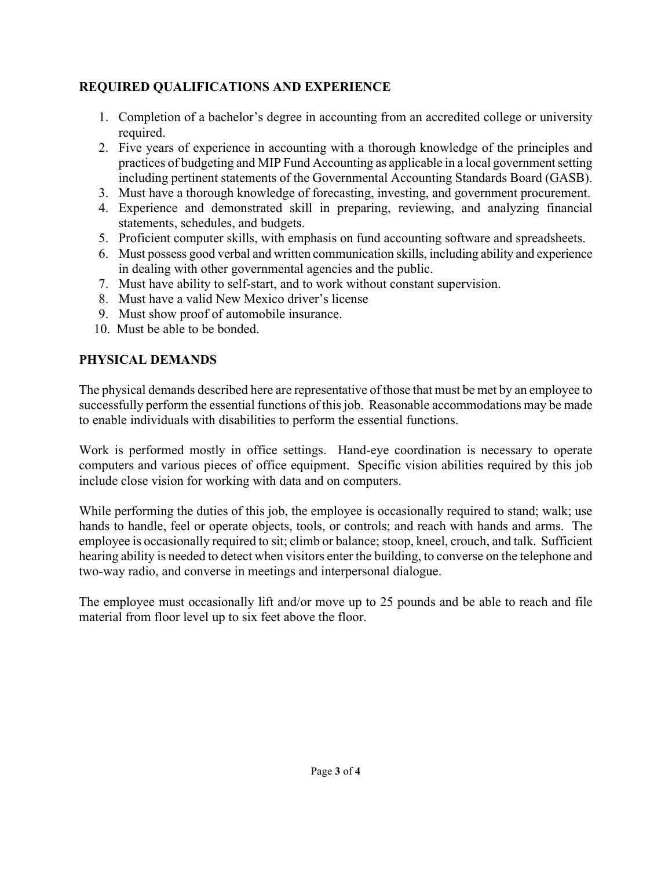# **REQUIRED QUALIFICATIONS AND EXPERIENCE**

- 1. Completion of a bachelor's degree in accounting from an accredited college or university required.
- 2. Five years of experience in accounting with a thorough knowledge of the principles and practices of budgeting and MIP Fund Accounting as applicable in a local government setting including pertinent statements of the Governmental Accounting Standards Board (GASB).
- 3. Must have a thorough knowledge of forecasting, investing, and government procurement.
- 4. Experience and demonstrated skill in preparing, reviewing, and analyzing financial statements, schedules, and budgets.
- 5. Proficient computer skills, with emphasis on fund accounting software and spreadsheets.
- 6. Must possess good verbal and written communication skills, including ability and experience in dealing with other governmental agencies and the public.
- 7. Must have ability to self-start, and to work without constant supervision.
- 8. Must have a valid New Mexico driver's license
- 9. Must show proof of automobile insurance.
- 10. Must be able to be bonded.

# **PHYSICAL DEMANDS**

The physical demands described here are representative of those that must be met by an employee to successfully perform the essential functions of this job. Reasonable accommodations may be made to enable individuals with disabilities to perform the essential functions.

Work is performed mostly in office settings. Hand-eye coordination is necessary to operate computers and various pieces of office equipment. Specific vision abilities required by this job include close vision for working with data and on computers.

While performing the duties of this job, the employee is occasionally required to stand; walk; use hands to handle, feel or operate objects, tools, or controls; and reach with hands and arms. The employee is occasionally required to sit; climb or balance; stoop, kneel, crouch, and talk. Sufficient hearing ability is needed to detect when visitors enter the building, to converse on the telephone and two-way radio, and converse in meetings and interpersonal dialogue.

The employee must occasionally lift and/or move up to 25 pounds and be able to reach and file material from floor level up to six feet above the floor.